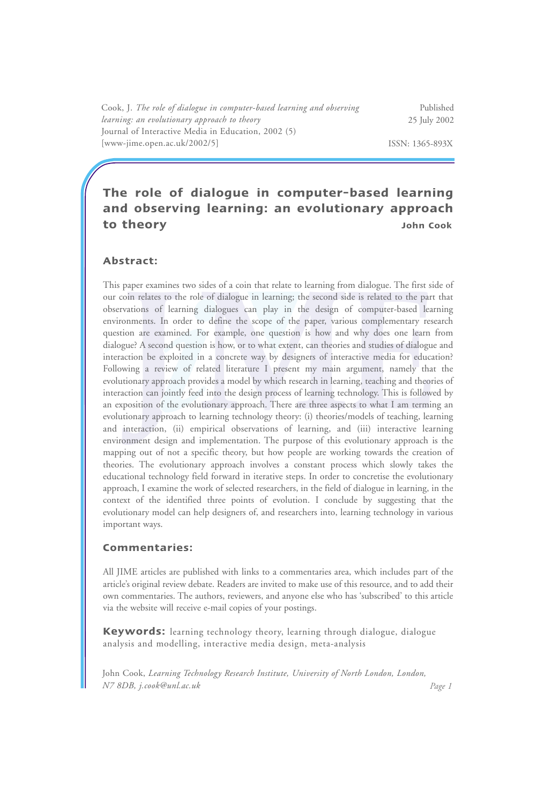Cook, J. *The role of dialogue in computer-based learning and observing learning: an evolutionary approach to theory* Journal of Interactive Media in Education, 2002 (5) [www-jime.open.ac.uk/2002/5]

Published 25 July 2002

ISSN: 1365-893X

# **The role of dialogue in computer-based learning and observing learning: an evolutionary approach to theory John Cook**

#### **Abstract:**

This paper examines two sides of a coin that relate to learning from dialogue. The first side of our coin relates to the role of dialogue in learning; the second side is related to the part that observations of learning dialogues can play in the design of computer-based learning environments. In order to define the scope of the paper, various complementary research question are examined. For example, one question is how and why does one learn from dialogue? A second question is how, or to what extent, can theories and studies of dialogue and interaction be exploited in a concrete way by designers of interactive media for education? Following a review of related literature I present my main argument, namely that the evolutionary approach provides a model by which research in learning, teaching and theories of interaction can jointly feed into the design process of learning technology. This is followed by an exposition of the evolutionary approach. There are three aspects to what I am terming an evolutionary approach to learning technology theory: (i) theories/models of teaching, learning and interaction, (ii) empirical observations of learning, and (iii) interactive learning environment design and implementation. The purpose of this evolutionary approach is the mapping out of not a specific theory, but how people are working towards the creation of theories. The evolutionary approach involves a constant process which slowly takes the educational technology field forward in iterative steps. In order to concretise the evolutionary approach, I examine the work of selected researchers, in the field of dialogue in learning, in the context of the identified three points of evolution. I conclude by suggesting that the evolutionary model can help designers of, and researchers into, learning technology in various important ways.

#### **Commentaries:**

All JIME articles are published with links to a commentaries area, which includes part of the article's original review debate. Readers are invited to make use of this resource, and to add their own commentaries. The authors, reviewers, and anyone else who has 'subscribed' to this article via the website will receive e-mail copies of your postings.

**Keywords:** learning technology theory, learning through dialogue, dialogue analysis and modelling, interactive media design, meta-analysis

John Cook, *Learning Technology Research Institute, University of North London, London, N7 8DB, j.cook@unl.ac.uk Page 1*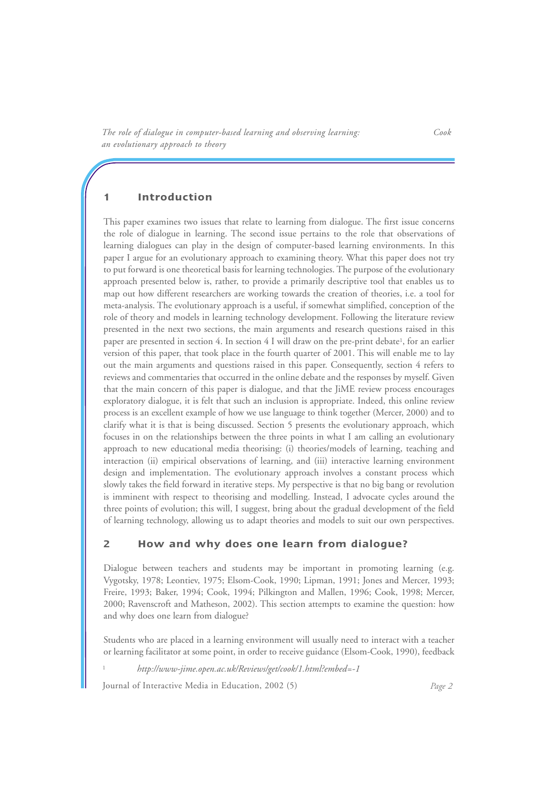### **1 Introduction**

This paper examines two issues that relate to learning from dialogue. The first issue concerns the role of dialogue in learning. The second issue pertains to the role that observations of learning dialogues can play in the design of computer-based learning environments. In this paper I argue for an evolutionary approach to examining theory. What this paper does not try to put forward is one theoretical basis for learning technologies. The purpose of the evolutionary approach presented below is, rather, to provide a primarily descriptive tool that enables us to map out how different researchers are working towards the creation of theories, i.e. a tool for meta-analysis. The evolutionary approach is a useful, if somewhat simplified, conception of the role of theory and models in learning technology development. Following the literature review presented in the next two sections, the main arguments and research questions raised in this paper are presented in section 4. In section 4 I will draw on the pre-print debate<sup>1</sup>, for an earlier version of this paper, that took place in the fourth quarter of 2001. This will enable me to lay out the main arguments and questions raised in this paper. Consequently, section 4 refers to reviews and commentaries that occurred in the online debate and the responses by myself. Given that the main concern of this paper is dialogue, and that the JiME review process encourages exploratory dialogue, it is felt that such an inclusion is appropriate. Indeed, this online review process is an excellent example of how we use language to think together (Mercer, 2000) and to clarify what it is that is being discussed. Section 5 presents the evolutionary approach, which focuses in on the relationships between the three points in what I am calling an evolutionary approach to new educational media theorising: (i) theories/models of learning, teaching and interaction (ii) empirical observations of learning, and (iii) interactive learning environment design and implementation. The evolutionary approach involves a constant process which slowly takes the field forward in iterative steps. My perspective is that no big bang or revolution is imminent with respect to theorising and modelling. Instead, I advocate cycles around the three points of evolution; this will, I suggest, bring about the gradual development of the field of learning technology, allowing us to adapt theories and models to suit our own perspectives.

### **2 How and why does one learn from dialogue?**

Dialogue between teachers and students may be important in promoting learning (e.g. Vygotsky, 1978; Leontiev, 1975; Elsom-Cook, 1990; Lipman, 1991; Jones and Mercer, 1993; Freire, 1993; Baker, 1994; Cook, 1994; Pilkington and Mallen, 1996; Cook, 1998; Mercer, 2000; Ravenscroft and Matheson, 2002). This section attempts to examine the question: how and why does one learn from dialogue?

Students who are placed in a learning environment will usually need to interact with a teacher or learning facilitator at some point, in order to receive guidance (Elsom-Cook, 1990), feedback

<sup>1</sup> *http://www-jime.open.ac.uk/Reviews/get/cook/1.html?embed=-1*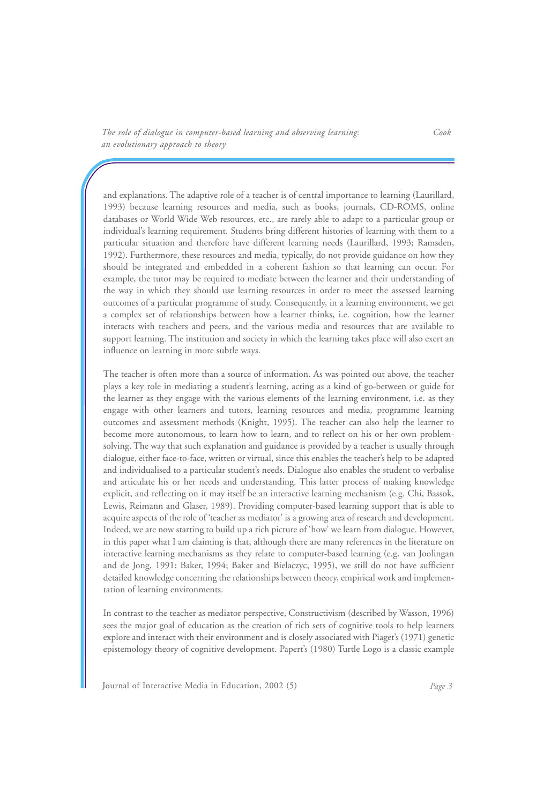and explanations. The adaptive role of a teacher is of central importance to learning (Laurillard, 1993) because learning resources and media, such as books, journals, CD-ROMS, online databases or World Wide Web resources, etc., are rarely able to adapt to a particular group or individual's learning requirement. Students bring different histories of learning with them to a particular situation and therefore have different learning needs (Laurillard, 1993; Ramsden, 1992). Furthermore, these resources and media, typically, do not provide guidance on how they should be integrated and embedded in a coherent fashion so that learning can occur. For example, the tutor may be required to mediate between the learner and their understanding of the way in which they should use learning resources in order to meet the assessed learning outcomes of a particular programme of study. Consequently, in a learning environment, we get a complex set of relationships between how a learner thinks, i.e. cognition, how the learner interacts with teachers and peers, and the various media and resources that are available to support learning. The institution and society in which the learning takes place will also exert an influence on learning in more subtle ways.

The teacher is often more than a source of information. As was pointed out above, the teacher plays a key role in mediating a student's learning, acting as a kind of go-between or guide for the learner as they engage with the various elements of the learning environment, i.e. as they engage with other learners and tutors, learning resources and media, programme learning outcomes and assessment methods (Knight, 1995). The teacher can also help the learner to become more autonomous, to learn how to learn, and to reflect on his or her own problemsolving. The way that such explanation and guidance is provided by a teacher is usually through dialogue, either face-to-face, written or virtual, since this enables the teacher's help to be adapted and individualised to a particular student's needs. Dialogue also enables the student to verbalise and articulate his or her needs and understanding. This latter process of making knowledge explicit, and reflecting on it may itself be an interactive learning mechanism (e.g. Chi, Bassok, Lewis, Reimann and Glaser, 1989). Providing computer-based learning support that is able to acquire aspects of the role of 'teacher as mediator' is a growing area of research and development. Indeed, we are now starting to build up a rich picture of 'how' we learn from dialogue. However, in this paper what I am claiming is that, although there are many references in the literature on interactive learning mechanisms as they relate to computer-based learning (e.g. van Joolingan and de Jong, 1991; Baker, 1994; Baker and Bielaczyc, 1995), we still do not have sufficient detailed knowledge concerning the relationships between theory, empirical work and implementation of learning environments.

In contrast to the teacher as mediator perspective, Constructivism (described by Wasson, 1996) sees the major goal of education as the creation of rich sets of cognitive tools to help learners explore and interact with their environment and is closely associated with Piaget's (1971) genetic epistemology theory of cognitive development. Papert's (1980) Turtle Logo is a classic example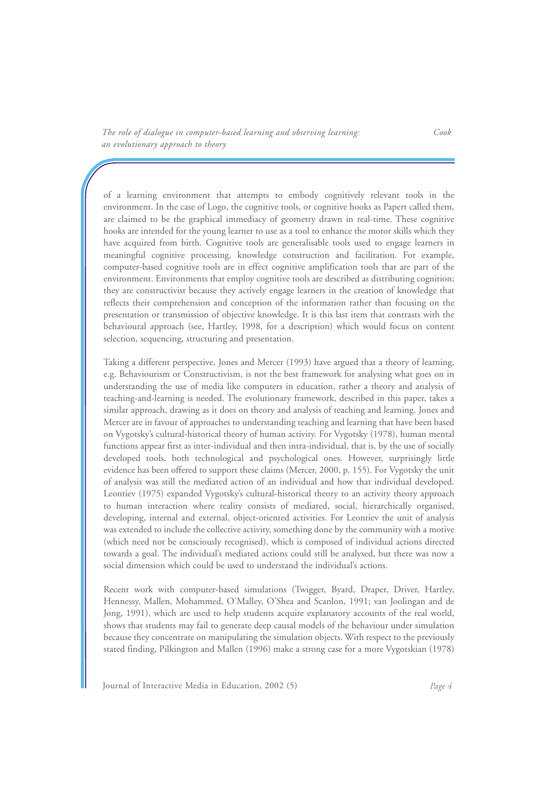of a learning environment that attempts to embody cognitively relevant tools in the environment. In the case of Logo, the cognitive tools, or cognitive hooks as Papert called them, are claimed to be the graphical immediacy of geometry drawn in real-time. These cognitive hooks are intended for the young learner to use as a tool to enhance the motor skills which they have acquired from birth. Cognitive tools are generalisable tools used to engage learners in meaningful cognitive processing, knowledge construction and facilitation. For example, computer-based cognitive tools are in effect cognitive amplification tools that are part of the environment. Environments that employ cognitive tools are described as distributing cognition; they are constructivist because they actively engage learners in the creation of knowledge that reflects their comprehension and conception of the information rather than focusing on the presentation or transmission of objective knowledge. It is this last item that contrasts with the behavioural approach (see, Hartley, 1998, for a description) which would focus on content selection, sequencing, structuring and presentation.

Taking a different perspective, Jones and Mercer (1993) have argued that a theory of learning, e.g. Behaviourism or Constructivism, is not the best framework for analysing what goes on in understanding the use of media like computers in education, rather a theory and analysis of teaching-and-learning is needed. The evolutionary framework, described in this paper, takes a similar approach, drawing as it does on theory and analysis of teaching and learning. Jones and Mercer are in favour of approaches to understanding teaching and learning that have been based on Vygotsky's cultural-historical theory of human activity. For Vygotsky (1978), human mental functions appear first as inter-individual and then intra-individual, that is, by the use of socially developed tools, both technological and psychological ones. However, surprisingly little evidence has been offered to support these claims (Mercer, 2000, p. 155). For Vygotsky the unit of analysis was still the mediated action of an individual and how that individual developed. Leontiev (1975) expanded Vygotsky's cultural-historical theory to an activity theory approach to human interaction where reality consists of mediated, social, hierarchically organised, developing, internal and external, object-oriented activities. For Leontiev the unit of analysis was extended to include the collective activity, something done by the community with a motive (which need not be consciously recognised), which is composed of individual actions directed towards a goal. The individual's mediated actions could still be analysed, but there was now a social dimension which could be used to understand the individual's actions.

Recent work with computer-based simulations (Twigger, Byard, Draper, Driver, Hartley, Hennessy, Mallen, Mohammed, O'Malley, O'Shea and Scanlon, 1991; van Joolingan and de Jong, 1991), which are used to help students acquire explanatory accounts of the real world, shows that students may fail to generate deep causal models of the behaviour under simulation because they concentrate on manipulating the simulation objects. With respect to the previously stated finding, Pilkington and Mallen (1996) make a strong case for a more Vygotskian (1978)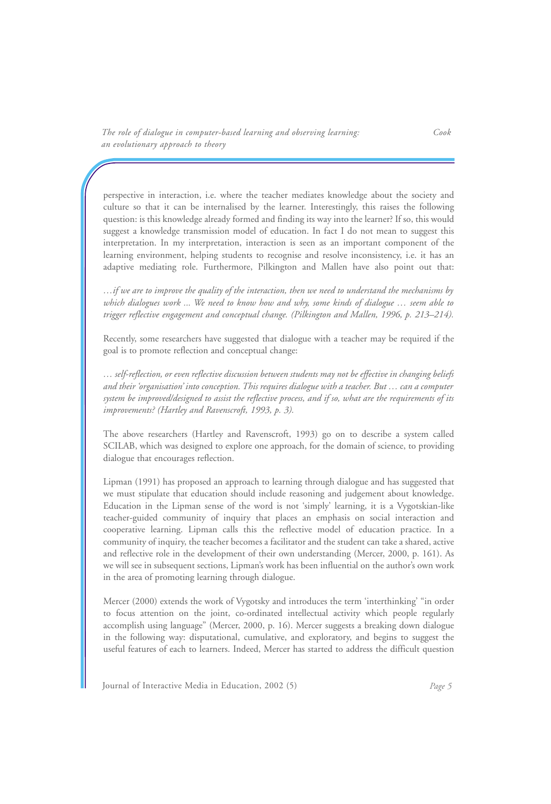perspective in interaction, i.e. where the teacher mediates knowledge about the society and culture so that it can be internalised by the learner. Interestingly, this raises the following question: is this knowledge already formed and finding its way into the learner? If so, this would suggest a knowledge transmission model of education. In fact I do not mean to suggest this interpretation. In my interpretation, interaction is seen as an important component of the learning environment, helping students to recognise and resolve inconsistency, i.e. it has an adaptive mediating role. Furthermore, Pilkington and Mallen have also point out that:

*…if we are to improve the quality of the interaction, then we need to understand the mechanisms by which dialogues work ... We need to know how and why, some kinds of dialogue … seem able to trigger reflective engagement and conceptual change. (Pilkington and Mallen, 1996, p. 213–214).* 

Recently, some researchers have suggested that dialogue with a teacher may be required if the goal is to promote reflection and conceptual change:

*… self-reflection, or even reflective discussion between students may not be effective in changing beliefs and their 'organisation' into conception. This requires dialogue with a teacher. But … can a computer system be improved/designed to assist the reflective process, and if so, what are the requirements of its improvements? (Hartley and Ravenscroft, 1993, p. 3).*

The above researchers (Hartley and Ravenscroft, 1993) go on to describe a system called SCILAB, which was designed to explore one approach, for the domain of science, to providing dialogue that encourages reflection.

Lipman (1991) has proposed an approach to learning through dialogue and has suggested that we must stipulate that education should include reasoning and judgement about knowledge. Education in the Lipman sense of the word is not 'simply' learning, it is a Vygotskian-like teacher-guided community of inquiry that places an emphasis on social interaction and cooperative learning. Lipman calls this the reflective model of education practice. In a community of inquiry, the teacher becomes a facilitator and the student can take a shared, active and reflective role in the development of their own understanding (Mercer, 2000, p. 161). As we will see in subsequent sections, Lipman's work has been influential on the author's own work in the area of promoting learning through dialogue.

Mercer (2000) extends the work of Vygotsky and introduces the term 'interthinking' "in order to focus attention on the joint, co-ordinated intellectual activity which people regularly accomplish using language" (Mercer, 2000, p. 16). Mercer suggests a breaking down dialogue in the following way: disputational, cumulative, and exploratory, and begins to suggest the useful features of each to learners. Indeed, Mercer has started to address the difficult question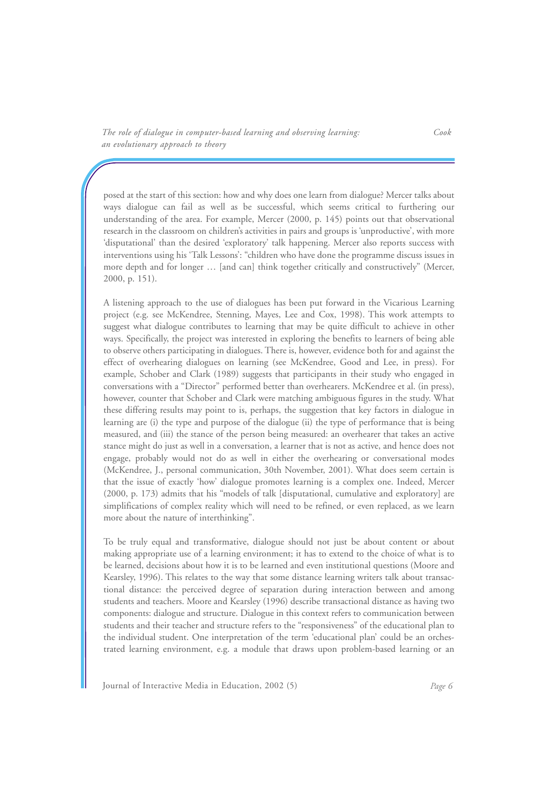posed at the start of this section: how and why does one learn from dialogue? Mercer talks about ways dialogue can fail as well as be successful, which seems critical to furthering our understanding of the area. For example, Mercer (2000, p. 145) points out that observational research in the classroom on children's activities in pairs and groups is 'unproductive', with more 'disputational' than the desired 'exploratory' talk happening. Mercer also reports success with interventions using his 'Talk Lessons': "children who have done the programme discuss issues in more depth and for longer … [and can] think together critically and constructively" (Mercer, 2000, p. 151).

A listening approach to the use of dialogues has been put forward in the Vicarious Learning project (e.g. see McKendree, Stenning, Mayes, Lee and Cox, 1998). This work attempts to suggest what dialogue contributes to learning that may be quite difficult to achieve in other ways. Specifically, the project was interested in exploring the benefits to learners of being able to observe others participating in dialogues. There is, however, evidence both for and against the effect of overhearing dialogues on learning (see McKendree, Good and Lee, in press). For example, Schober and Clark (1989) suggests that participants in their study who engaged in conversations with a "Director" performed better than overhearers. McKendree et al. (in press), however, counter that Schober and Clark were matching ambiguous figures in the study. What these differing results may point to is, perhaps, the suggestion that key factors in dialogue in learning are (i) the type and purpose of the dialogue (ii) the type of performance that is being measured, and (iii) the stance of the person being measured: an overhearer that takes an active stance might do just as well in a conversation, a learner that is not as active, and hence does not engage, probably would not do as well in either the overhearing or conversational modes (McKendree, J., personal communication, 30th November, 2001). What does seem certain is that the issue of exactly 'how' dialogue promotes learning is a complex one. Indeed, Mercer (2000, p. 173) admits that his "models of talk [disputational, cumulative and exploratory] are simplifications of complex reality which will need to be refined, or even replaced, as we learn more about the nature of interthinking".

To be truly equal and transformative, dialogue should not just be about content or about making appropriate use of a learning environment; it has to extend to the choice of what is to be learned, decisions about how it is to be learned and even institutional questions (Moore and Kearsley, 1996). This relates to the way that some distance learning writers talk about transactional distance: the perceived degree of separation during interaction between and among students and teachers. Moore and Kearsley (1996) describe transactional distance as having two components: dialogue and structure. Dialogue in this context refers to communication between students and their teacher and structure refers to the "responsiveness" of the educational plan to the individual student. One interpretation of the term 'educational plan' could be an orchestrated learning environment, e.g. a module that draws upon problem-based learning or an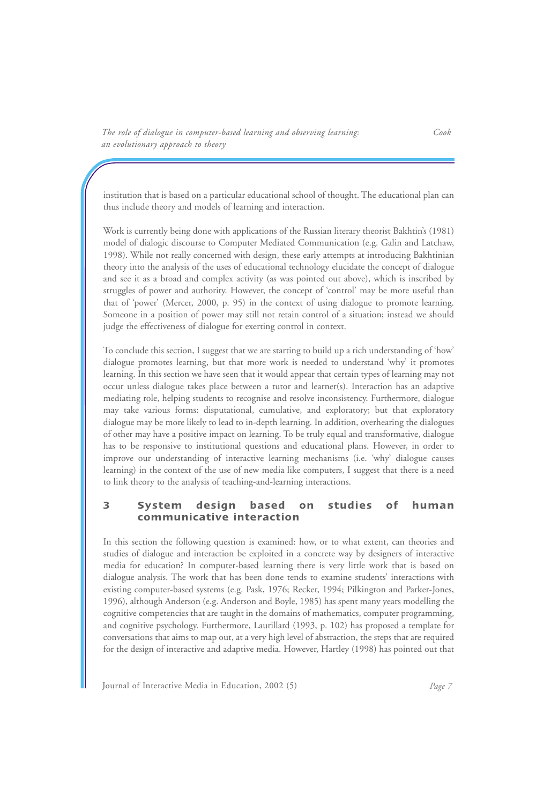institution that is based on a particular educational school of thought. The educational plan can thus include theory and models of learning and interaction.

Work is currently being done with applications of the Russian literary theorist Bakhtin's (1981) model of dialogic discourse to Computer Mediated Communication (e.g. Galin and Latchaw, 1998). While not really concerned with design, these early attempts at introducing Bakhtinian theory into the analysis of the uses of educational technology elucidate the concept of dialogue and see it as a broad and complex activity (as was pointed out above), which is inscribed by struggles of power and authority. However, the concept of 'control' may be more useful than that of 'power' (Mercer, 2000, p. 95) in the context of using dialogue to promote learning. Someone in a position of power may still not retain control of a situation; instead we should judge the effectiveness of dialogue for exerting control in context.

To conclude this section, I suggest that we are starting to build up a rich understanding of 'how' dialogue promotes learning, but that more work is needed to understand 'why' it promotes learning. In this section we have seen that it would appear that certain types of learning may not occur unless dialogue takes place between a tutor and learner(s). Interaction has an adaptive mediating role, helping students to recognise and resolve inconsistency. Furthermore, dialogue may take various forms: disputational, cumulative, and exploratory; but that exploratory dialogue may be more likely to lead to in-depth learning. In addition, overhearing the dialogues of other may have a positive impact on learning. To be truly equal and transformative, dialogue has to be responsive to institutional questions and educational plans. However, in order to improve our understanding of interactive learning mechanisms (i.e. 'why' dialogue causes learning) in the context of the use of new media like computers, I suggest that there is a need to link theory to the analysis of teaching-and-learning interactions.

### **3 System design based on studies of human communicative interaction**

In this section the following question is examined: how, or to what extent, can theories and studies of dialogue and interaction be exploited in a concrete way by designers of interactive media for education? In computer-based learning there is very little work that is based on dialogue analysis. The work that has been done tends to examine students' interactions with existing computer-based systems (e.g. Pask, 1976; Recker, 1994; Pilkington and Parker-Jones, 1996), although Anderson (e.g. Anderson and Boyle, 1985) has spent many years modelling the cognitive competencies that are taught in the domains of mathematics, computer programming, and cognitive psychology. Furthermore, Laurillard (1993, p. 102) has proposed a template for conversations that aims to map out, at a very high level of abstraction, the steps that are required for the design of interactive and adaptive media. However, Hartley (1998) has pointed out that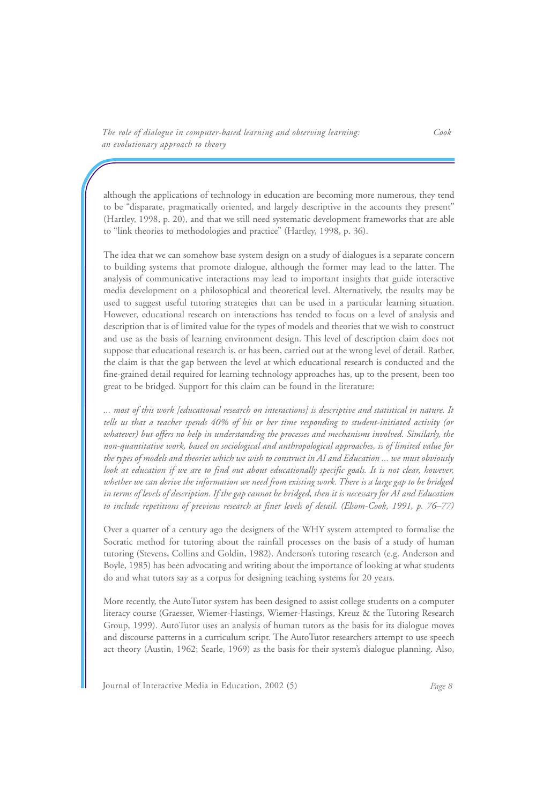although the applications of technology in education are becoming more numerous, they tend to be "disparate, pragmatically oriented, and largely descriptive in the accounts they present" (Hartley, 1998, p. 20), and that we still need systematic development frameworks that are able to "link theories to methodologies and practice" (Hartley, 1998, p. 36).

The idea that we can somehow base system design on a study of dialogues is a separate concern to building systems that promote dialogue, although the former may lead to the latter. The analysis of communicative interactions may lead to important insights that guide interactive media development on a philosophical and theoretical level. Alternatively, the results may be used to suggest useful tutoring strategies that can be used in a particular learning situation. However, educational research on interactions has tended to focus on a level of analysis and description that is of limited value for the types of models and theories that we wish to construct and use as the basis of learning environment design. This level of description claim does not suppose that educational research is, or has been, carried out at the wrong level of detail. Rather, the claim is that the gap between the level at which educational research is conducted and the fine-grained detail required for learning technology approaches has, up to the present, been too great to be bridged. Support for this claim can be found in the literature:

*... most of this work [educational research on interactions] is descriptive and statistical in nature. It tells us that a teacher spends 40% of his or her time responding to student-initiated activity (or whatever) but offers no help in understanding the processes and mechanisms involved. Similarly, the non-quantitative work, based on sociological and anthropological approaches, is of limited value for the types of models and theories which we wish to construct in AI and Education ... we must obviously look at education if we are to find out about educationally specific goals. It is not clear, however, whether we can derive the information we need from existing work. There is a large gap to be bridged in terms of levels of description. If the gap cannot be bridged, then it is necessary for AI and Education to include repetitions of previous research at finer levels of detail. (Elsom-Cook, 1991, p. 76–77)* 

Over a quarter of a century ago the designers of the WHY system attempted to formalise the Socratic method for tutoring about the rainfall processes on the basis of a study of human tutoring (Stevens, Collins and Goldin, 1982). Anderson's tutoring research (e.g. Anderson and Boyle, 1985) has been advocating and writing about the importance of looking at what students do and what tutors say as a corpus for designing teaching systems for 20 years.

More recently, the AutoTutor system has been designed to assist college students on a computer literacy course (Graesser, Wiemer-Hastings, Wiemer-Hastings, Kreuz & the Tutoring Research Group, 1999). AutoTutor uses an analysis of human tutors as the basis for its dialogue moves and discourse patterns in a curriculum script. The AutoTutor researchers attempt to use speech act theory (Austin, 1962; Searle, 1969) as the basis for their system's dialogue planning. Also,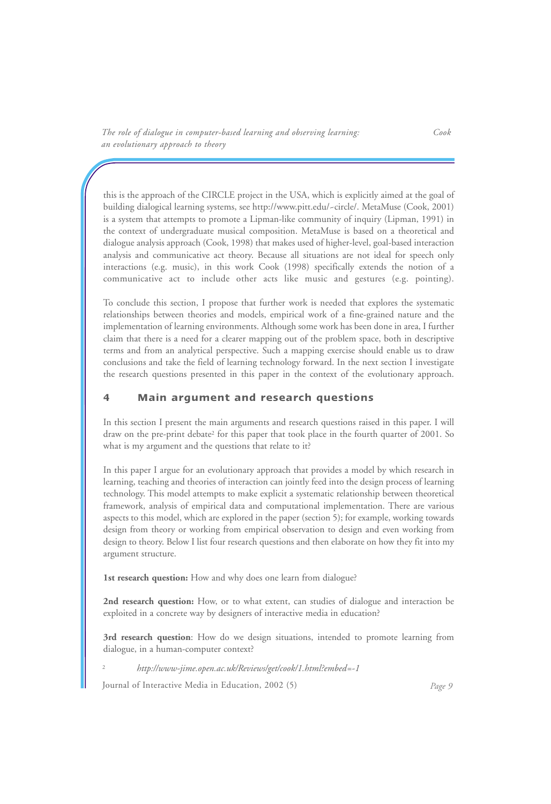this is the approach of the CIRCLE project in the USA, which is explicitly aimed at the goal of building dialogical learning systems, see http://www.pitt.edu/~circle/. MetaMuse (Cook, 2001) is a system that attempts to promote a Lipman-like community of inquiry (Lipman, 1991) in the context of undergraduate musical composition. MetaMuse is based on a theoretical and dialogue analysis approach (Cook, 1998) that makes used of higher-level, goal-based interaction analysis and communicative act theory. Because all situations are not ideal for speech only interactions (e.g. music), in this work Cook (1998) specifically extends the notion of a communicative act to include other acts like music and gestures (e.g. pointing).

To conclude this section, I propose that further work is needed that explores the systematic relationships between theories and models, empirical work of a fine-grained nature and the implementation of learning environments. Although some work has been done in area, I further claim that there is a need for a clearer mapping out of the problem space, both in descriptive terms and from an analytical perspective. Such a mapping exercise should enable us to draw conclusions and take the field of learning technology forward. In the next section I investigate the research questions presented in this paper in the context of the evolutionary approach.

## **4 Main argument and research questions**

In this section I present the main arguments and research questions raised in this paper. I will draw on the pre-print debate2 for this paper that took place in the fourth quarter of 2001. So what is my argument and the questions that relate to it?

In this paper I argue for an evolutionary approach that provides a model by which research in learning, teaching and theories of interaction can jointly feed into the design process of learning technology. This model attempts to make explicit a systematic relationship between theoretical framework, analysis of empirical data and computational implementation. There are various aspects to this model, which are explored in the paper (section 5); for example, working towards design from theory or working from empirical observation to design and even working from design to theory. Below I list four research questions and then elaborate on how they fit into my argument structure.

**1st research question:** How and why does one learn from dialogue?

**2nd research question:** How, or to what extent, can studies of dialogue and interaction be exploited in a concrete way by designers of interactive media in education?

**3rd research question**: How do we design situations, intended to promote learning from dialogue, in a human-computer context?

<sup>2</sup> *http://www-jime.open.ac.uk/Reviews/get/cook/1.html?embed=-1*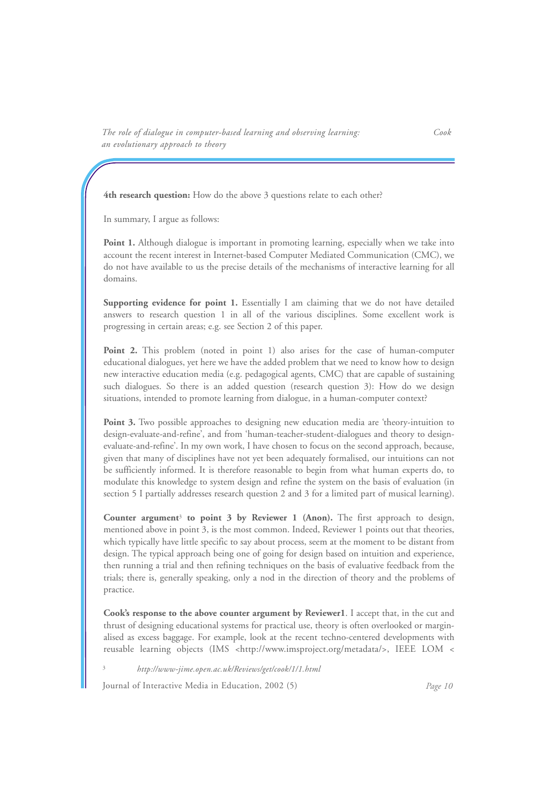**4th research question:** How do the above 3 questions relate to each other?

In summary, I argue as follows:

**Point 1.** Although dialogue is important in promoting learning, especially when we take into account the recent interest in Internet-based Computer Mediated Communication (CMC), we do not have available to us the precise details of the mechanisms of interactive learning for all domains.

**Supporting evidence for point 1.** Essentially I am claiming that we do not have detailed answers to research question 1 in all of the various disciplines. Some excellent work is progressing in certain areas; e.g. see Section 2 of this paper.

**Point 2.** This problem (noted in point 1) also arises for the case of human-computer educational dialogues, yet here we have the added problem that we need to know how to design new interactive education media (e.g. pedagogical agents, CMC) that are capable of sustaining such dialogues. So there is an added question (research question 3): How do we design situations, intended to promote learning from dialogue, in a human-computer context?

**Point 3.** Two possible approaches to designing new education media are 'theory-intuition to design-evaluate-and-refine', and from 'human-teacher-student-dialogues and theory to designevaluate-and-refine'. In my own work, I have chosen to focus on the second approach, because, given that many of disciplines have not yet been adequately formalised, our intuitions can not be sufficiently informed. It is therefore reasonable to begin from what human experts do, to modulate this knowledge to system design and refine the system on the basis of evaluation (in section 5 I partially addresses research question 2 and 3 for a limited part of musical learning).

**Counter argument**<sup>3</sup> **to point 3 by Reviewer 1 (Anon).** The first approach to design, mentioned above in point 3, is the most common. Indeed, Reviewer 1 points out that theories, which typically have little specific to say about process, seem at the moment to be distant from design. The typical approach being one of going for design based on intuition and experience, then running a trial and then refining techniques on the basis of evaluative feedback from the trials; there is, generally speaking, only a nod in the direction of theory and the problems of practice.

**Cook's response to the above counter argument by Reviewer1**. I accept that, in the cut and thrust of designing educational systems for practical use, theory is often overlooked or marginalised as excess baggage. For example, look at the recent techno-centered developments with reusable learning objects (IMS <http://www.imsproject.org/metadata/>, IEEE LOM <

<sup>3</sup> *http://www-jime.open.ac.uk/Reviews/get/cook/1/1.html*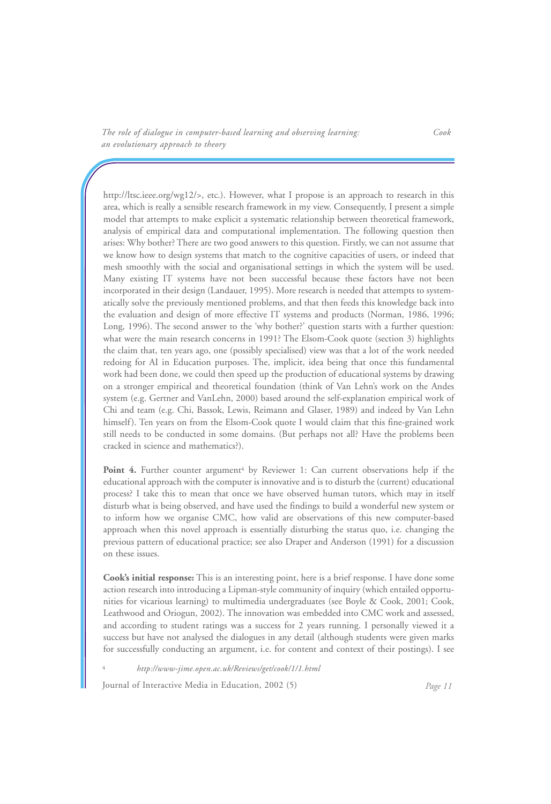http://ltsc.ieee.org/wg12/>, etc.). However, what I propose is an approach to research in this area, which is really a sensible research framework in my view. Consequently, I present a simple model that attempts to make explicit a systematic relationship between theoretical framework, analysis of empirical data and computational implementation. The following question then arises: Why bother? There are two good answers to this question. Firstly, we can not assume that we know how to design systems that match to the cognitive capacities of users, or indeed that mesh smoothly with the social and organisational settings in which the system will be used. Many existing IT systems have not been successful because these factors have not been incorporated in their design (Landauer, 1995). More research is needed that attempts to systematically solve the previously mentioned problems, and that then feeds this knowledge back into the evaluation and design of more effective IT systems and products (Norman, 1986, 1996; Long, 1996). The second answer to the 'why bother?' question starts with a further question: what were the main research concerns in 1991? The Elsom-Cook quote (section 3) highlights the claim that, ten years ago, one (possibly specialised) view was that a lot of the work needed redoing for AI in Education purposes. The, implicit, idea being that once this fundamental work had been done, we could then speed up the production of educational systems by drawing on a stronger empirical and theoretical foundation (think of Van Lehn's work on the Andes system (e.g. Gertner and VanLehn, 2000) based around the self-explanation empirical work of Chi and team (e.g. Chi, Bassok, Lewis, Reimann and Glaser, 1989) and indeed by Van Lehn himself). Ten years on from the Elsom-Cook quote I would claim that this fine-grained work still needs to be conducted in some domains. (But perhaps not all? Have the problems been cracked in science and mathematics?).

Point 4. Further counter argument<sup>4</sup> by Reviewer 1: Can current observations help if the educational approach with the computer is innovative and is to disturb the (current) educational process? I take this to mean that once we have observed human tutors, which may in itself disturb what is being observed, and have used the findings to build a wonderful new system or to inform how we organise CMC, how valid are observations of this new computer-based approach when this novel approach is essentially disturbing the status quo, i.e. changing the previous pattern of educational practice; see also Draper and Anderson (1991) for a discussion on these issues.

**Cook's initial response:** This is an interesting point, here is a brief response. I have done some action research into introducing a Lipman-style community of inquiry (which entailed opportunities for vicarious learning) to multimedia undergraduates (see Boyle & Cook, 2001; Cook, Leathwood and Oriogun, 2002). The innovation was embedded into CMC work and assessed, and according to student ratings was a success for 2 years running. I personally viewed it a success but have not analysed the dialogues in any detail (although students were given marks for successfully conducting an argument, i.e. for content and context of their postings). I see

<sup>4</sup> *http://www-jime.open.ac.uk/Reviews/get/cook/1/1.html*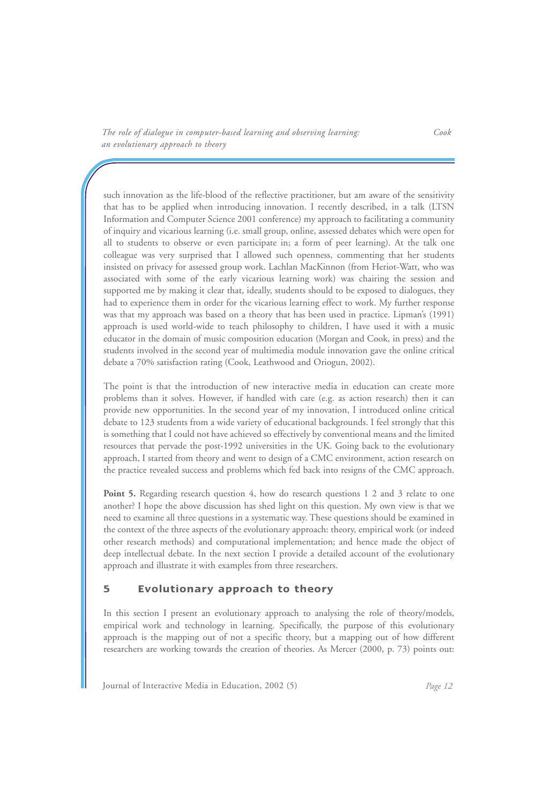such innovation as the life-blood of the reflective practitioner, but am aware of the sensitivity that has to be applied when introducing innovation. I recently described, in a talk (LTSN Information and Computer Science 2001 conference) my approach to facilitating a community of inquiry and vicarious learning (i.e. small group, online, assessed debates which were open for all to students to observe or even participate in; a form of peer learning). At the talk one colleague was very surprised that I allowed such openness, commenting that her students insisted on privacy for assessed group work. Lachlan MacKinnon (from Heriot-Watt, who was associated with some of the early vicarious learning work) was chairing the session and supported me by making it clear that, ideally, students should to be exposed to dialogues, they had to experience them in order for the vicarious learning effect to work. My further response was that my approach was based on a theory that has been used in practice. Lipman's (1991) approach is used world-wide to teach philosophy to children, I have used it with a music educator in the domain of music composition education (Morgan and Cook, in press) and the students involved in the second year of multimedia module innovation gave the online critical debate a 70% satisfaction rating (Cook, Leathwood and Oriogun, 2002).

The point is that the introduction of new interactive media in education can create more problems than it solves. However, if handled with care (e.g. as action research) then it can provide new opportunities. In the second year of my innovation, I introduced online critical debate to 123 students from a wide variety of educational backgrounds. I feel strongly that this is something that I could not have achieved so effectively by conventional means and the limited resources that pervade the post-1992 universities in the UK. Going back to the evolutionary approach, I started from theory and went to design of a CMC environment, action research on the practice revealed success and problems which fed back into resigns of the CMC approach.

**Point 5.** Regarding research question 4, how do research questions 1 2 and 3 relate to one another? I hope the above discussion has shed light on this question. My own view is that we need to examine all three questions in a systematic way. These questions should be examined in the context of the three aspects of the evolutionary approach: theory, empirical work (or indeed other research methods) and computational implementation; and hence made the object of deep intellectual debate. In the next section I provide a detailed account of the evolutionary approach and illustrate it with examples from three researchers.

### **5 Evolutionary approach to theory**

In this section I present an evolutionary approach to analysing the role of theory/models, empirical work and technology in learning. Specifically, the purpose of this evolutionary approach is the mapping out of not a specific theory, but a mapping out of how different researchers are working towards the creation of theories. As Mercer (2000, p. 73) points out: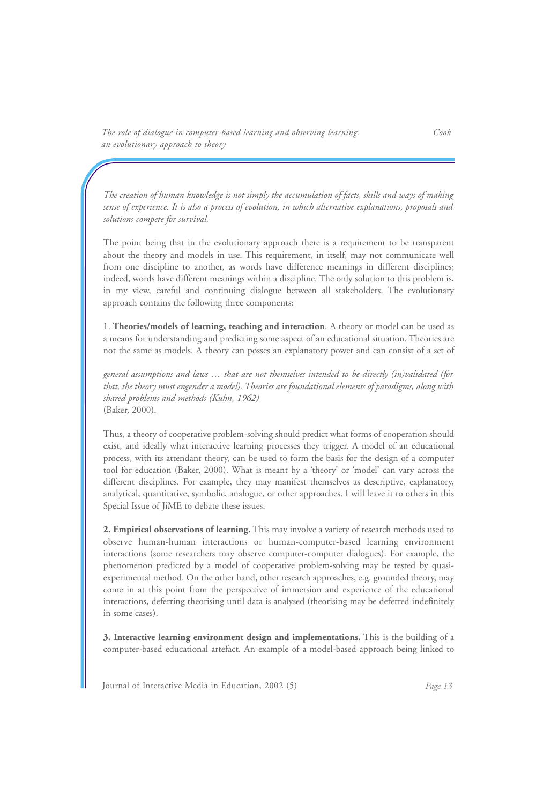*The creation of human knowledge is not simply the accumulation of facts, skills and ways of making sense of experience. It is also a process of evolution, in which alternative explanations, proposals and solutions compete for survival.*

The point being that in the evolutionary approach there is a requirement to be transparent about the theory and models in use. This requirement, in itself, may not communicate well from one discipline to another, as words have difference meanings in different disciplines; indeed, words have different meanings within a discipline. The only solution to this problem is, in my view, careful and continuing dialogue between all stakeholders. The evolutionary approach contains the following three components:

1. **Theories/models of learning, teaching and interaction**. A theory or model can be used as a means for understanding and predicting some aspect of an educational situation. Theories are not the same as models. A theory can posses an explanatory power and can consist of a set of

*general assumptions and laws … that are not themselves intended to be directly (in)validated (for that, the theory must engender a model). Theories are foundational elements of paradigms, along with shared problems and methods (Kuhn, 1962)*  (Baker, 2000).

Thus, a theory of cooperative problem-solving should predict what forms of cooperation should exist, and ideally what interactive learning processes they trigger. A model of an educational process, with its attendant theory, can be used to form the basis for the design of a computer tool for education (Baker, 2000). What is meant by a 'theory' or 'model' can vary across the different disciplines. For example, they may manifest themselves as descriptive, explanatory, analytical, quantitative, symbolic, analogue, or other approaches. I will leave it to others in this Special Issue of JiME to debate these issues.

**2. Empirical observations of learning.** This may involve a variety of research methods used to observe human-human interactions or human-computer-based learning environment interactions (some researchers may observe computer-computer dialogues). For example, the phenomenon predicted by a model of cooperative problem-solving may be tested by quasiexperimental method. On the other hand, other research approaches, e.g. grounded theory, may come in at this point from the perspective of immersion and experience of the educational interactions, deferring theorising until data is analysed (theorising may be deferred indefinitely in some cases).

**3. Interactive learning environment design and implementations.** This is the building of a computer-based educational artefact. An example of a model-based approach being linked to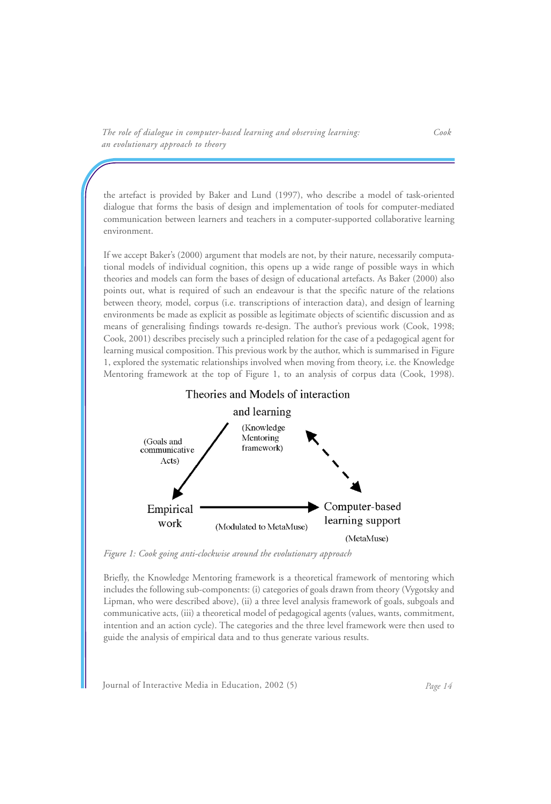the artefact is provided by Baker and Lund (1997), who describe a model of task-oriented dialogue that forms the basis of design and implementation of tools for computer-mediated communication between learners and teachers in a computer-supported collaborative learning environment.

If we accept Baker's (2000) argument that models are not, by their nature, necessarily computational models of individual cognition, this opens up a wide range of possible ways in which theories and models can form the bases of design of educational artefacts. As Baker (2000) also points out, what is required of such an endeavour is that the specific nature of the relations between theory, model, corpus (i.e. transcriptions of interaction data), and design of learning environments be made as explicit as possible as legitimate objects of scientific discussion and as means of generalising findings towards re-design. The author's previous work (Cook, 1998; Cook, 2001) describes precisely such a principled relation for the case of a pedagogical agent for learning musical composition. This previous work by the author, which is summarised in Figure 1, explored the systematic relationships involved when moving from theory, i.e. the Knowledge Mentoring framework at the top of Figure 1, to an analysis of corpus data (Cook, 1998).





*Figure 1: Cook going anti-clockwise around the evolutionary approach*

Briefly, the Knowledge Mentoring framework is a theoretical framework of mentoring which includes the following sub-components: (i) categories of goals drawn from theory (Vygotsky and Lipman, who were described above), (ii) a three level analysis framework of goals, subgoals and communicative acts, (iii) a theoretical model of pedagogical agents (values, wants, commitment, intention and an action cycle). The categories and the three level framework were then used to guide the analysis of empirical data and to thus generate various results.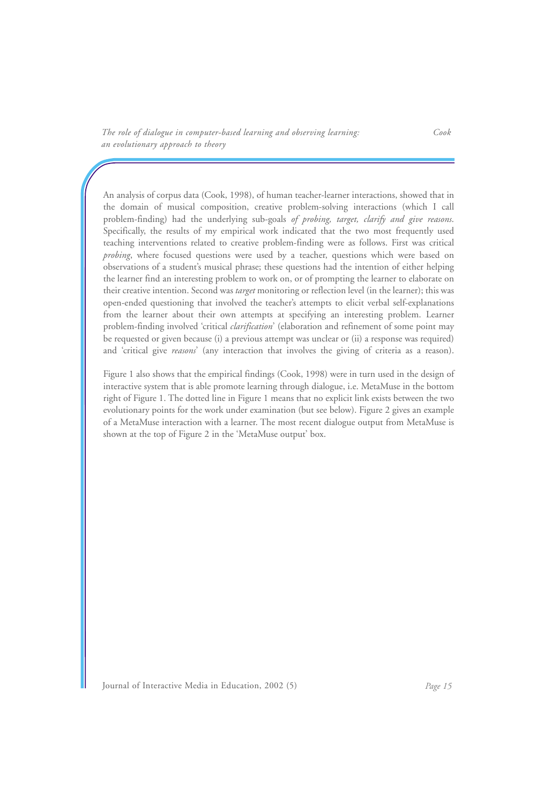An analysis of corpus data (Cook, 1998), of human teacher-learner interactions, showed that in the domain of musical composition, creative problem-solving interactions (which I call problem-finding) had the underlying sub-goals *of probing, target, clarify and give reasons*. Specifically, the results of my empirical work indicated that the two most frequently used teaching interventions related to creative problem-finding were as follows. First was critical *probing*, where focused questions were used by a teacher, questions which were based on observations of a student's musical phrase; these questions had the intention of either helping the learner find an interesting problem to work on, or of prompting the learner to elaborate on their creative intention. Second was *target* monitoring or reflection level (in the learner); this was open-ended questioning that involved the teacher's attempts to elicit verbal self-explanations from the learner about their own attempts at specifying an interesting problem. Learner problem-finding involved 'critical *clarification*' (elaboration and refinement of some point may be requested or given because (i) a previous attempt was unclear or (ii) a response was required) and 'critical give *reasons*' (any interaction that involves the giving of criteria as a reason).

Figure 1 also shows that the empirical findings (Cook, 1998) were in turn used in the design of interactive system that is able promote learning through dialogue, i.e. MetaMuse in the bottom right of Figure 1. The dotted line in Figure 1 means that no explicit link exists between the two evolutionary points for the work under examination (but see below). Figure 2 gives an example of a MetaMuse interaction with a learner. The most recent dialogue output from MetaMuse is shown at the top of Figure 2 in the 'MetaMuse output' box.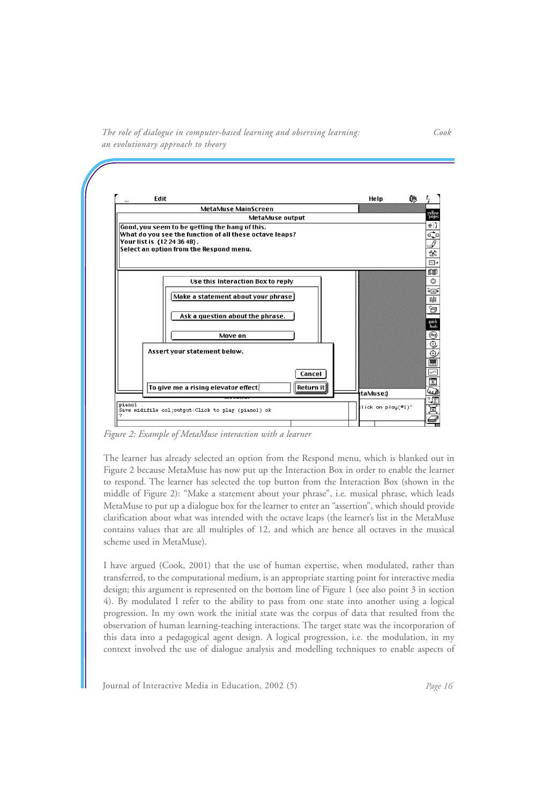*The role of dialogue in computer-based learning and observing learning: Cook an evolutionary approach to theory*



*Figure 2: Example of MetaMuse interaction with a learner*

The learner has already selected an option from the Respond menu, which is blanked out in Figure 2 because MetaMuse has now put up the Interaction Box in order to enable the learner to respond. The learner has selected the top button from the Interaction Box (shown in the middle of Figure 2): "Make a statement about your phrase", i.e. musical phrase, which leads MetaMuse to put up a dialogue box for the learner to enter an "assertion", which should provide clarification about what was intended with the octave leaps (the learner's list in the MetaMuse contains values that are all multiples of 12, and which are hence all octaves in the musical scheme used in MetaMuse).

I have argued (Cook, 2001) that the use of human expertise, when modulated, rather than transferred, to the computational medium, is an appropriate starting point for interactive media design; this argument is represented on the bottom line of Figure 1 (see also point 3 in section 4). By modulated I refer to the ability to pass from one state into another using a logical progression. In my own work the initial state was the corpus of data that resulted from the observation of human learning-teaching interactions. The target state was the incorporation of this data into a pedagogical agent design. A logical progression, i.e. the modulation, in my context involved the use of dialogue analysis and modelling techniques to enable aspects of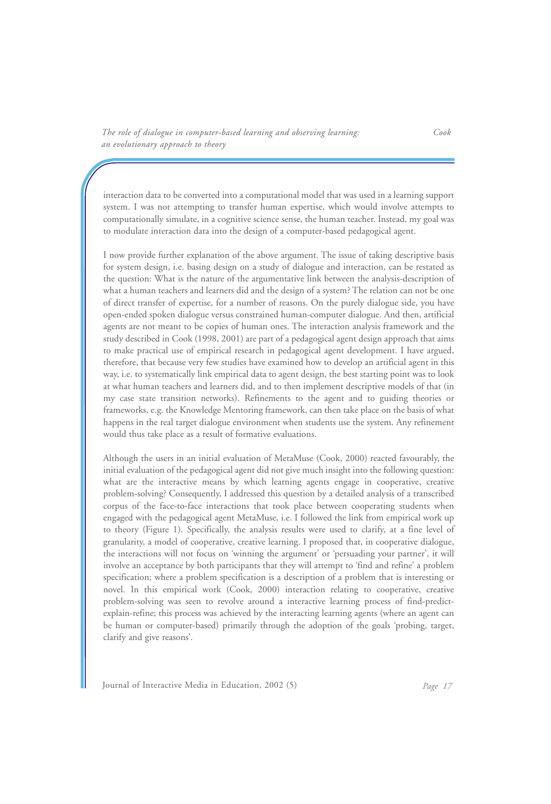interaction data to be converted into a computational model that was used in a learning support system. I was not attempting to transfer human expertise, which would involve attempts to computationally simulate, in a cognitive science sense, the human teacher. Instead, my goal was to modulate interaction data into the design of a computer-based pedagogical agent.

I now provide further explanation of the above argument. The issue of taking descriptive basis for system design, i.e. basing design on a study of dialogue and interaction, can be restated as the question: What is the nature of the argumentative link between the analysis-description of what a human teachers and learners did and the design of a system? The relation can not be one of direct transfer of expertise, for a number of reasons. On the purely dialogue side, you have open-ended spoken dialogue versus constrained human-computer dialogue. And then, artificial agents are not meant to be copies of human ones. The interaction analysis framework and the study described in Cook (1998, 2001) are part of a pedagogical agent design approach that aims to make practical use of empirical research in pedagogical agent development. I have argued, therefore, that because very few studies have examined how to develop an artificial agent in this way, i.e. to systematically link empirical data to agent design, the best starting point was to look at what human teachers and learners did, and to then implement descriptive models of that (in my case state transition networks). Refinements to the agent and to guiding theories or frameworks, e.g. the Knowledge Mentoring framework, can then take place on the basis of what happens in the real target dialogue environment when students use the system. Any refinement would thus take place as a result of formative evaluations.

Although the users in an initial evaluation of MetaMuse (Cook, 2000) reacted favourably, the initial evaluation of the pedagogical agent did not give much insight into the following question: what are the interactive means by which learning agents engage in cooperative, creative problem-solving? Consequently, I addressed this question by a detailed analysis of a transcribed corpus of the face-to-face interactions that took place between cooperating students when engaged with the pedagogical agent MetaMuse, i.e. I followed the link from empirical work up to theory (Figure 1). Specifically, the analysis results were used to clarify, at a fine level of granularity, a model of cooperative, creative learning. I proposed that, in cooperative dialogue, the interactions will not focus on 'winning the argument' or 'persuading your partner', it will involve an acceptance by both participants that they will attempt to 'find and refine' a problem specification; where a problem specification is a description of a problem that is interesting or novel. In this empirical work (Cook, 2000) interaction relating to cooperative, creative problem-solving was seen to revolve around a interactive learning process of find-predictexplain-refine; this process was achieved by the interacting learning agents (where an agent can be human or computer-based) primarily through the adoption of the goals 'probing, target, clarify and give reasons'.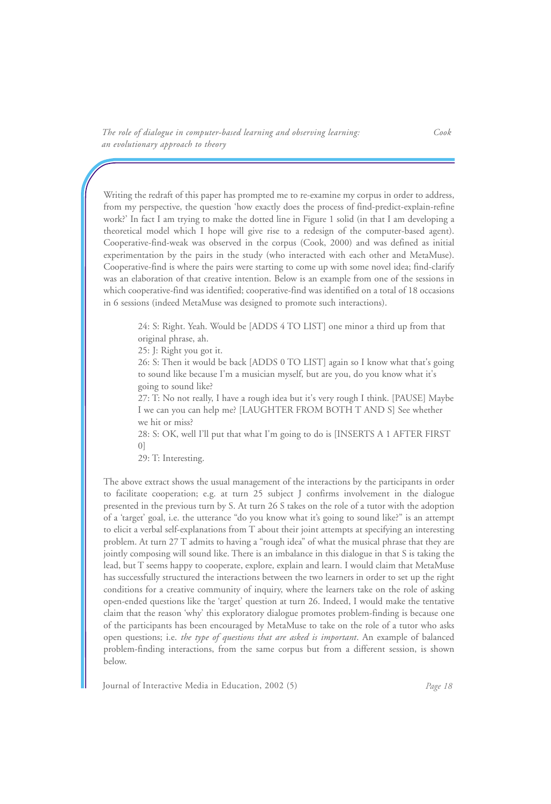Writing the redraft of this paper has prompted me to re-examine my corpus in order to address, from my perspective, the question 'how exactly does the process of find-predict-explain-refine work?' In fact I am trying to make the dotted line in Figure 1 solid (in that I am developing a theoretical model which I hope will give rise to a redesign of the computer-based agent). Cooperative-find-weak was observed in the corpus (Cook, 2000) and was defined as initial experimentation by the pairs in the study (who interacted with each other and MetaMuse). Cooperative-find is where the pairs were starting to come up with some novel idea; find-clarify was an elaboration of that creative intention. Below is an example from one of the sessions in which cooperative-find was identified; cooperative-find was identified on a total of 18 occasions in 6 sessions (indeed MetaMuse was designed to promote such interactions).

24: S: Right. Yeah. Would be [ADDS 4 TO LIST] one minor a third up from that original phrase, ah.

25: J: Right you got it.

26: S: Then it would be back [ADDS 0 TO LIST] again so I know what that's going to sound like because I'm a musician myself, but are you, do you know what it's going to sound like?

27: T: No not really, I have a rough idea but it's very rough I think. [PAUSE] Maybe I we can you can help me? [LAUGHTER FROM BOTH T AND S] See whether we hit or miss?

28: S: OK, well I'll put that what I'm going to do is [INSERTS A 1 AFTER FIRST 0]

29: T: Interesting.

The above extract shows the usual management of the interactions by the participants in order to facilitate cooperation; e.g. at turn 25 subject J confirms involvement in the dialogue presented in the previous turn by S. At turn 26 S takes on the role of a tutor with the adoption of a 'target' goal, i.e. the utterance "do you know what it's going to sound like?" is an attempt to elicit a verbal self-explanations from T about their joint attempts at specifying an interesting problem. At turn 27 T admits to having a "rough idea" of what the musical phrase that they are jointly composing will sound like. There is an imbalance in this dialogue in that S is taking the lead, but T seems happy to cooperate, explore, explain and learn. I would claim that MetaMuse has successfully structured the interactions between the two learners in order to set up the right conditions for a creative community of inquiry, where the learners take on the role of asking open-ended questions like the 'target' question at turn 26. Indeed, I would make the tentative claim that the reason 'why' this exploratory dialogue promotes problem-finding is because one of the participants has been encouraged by MetaMuse to take on the role of a tutor who asks open questions; i.e. *the type of questions that are asked is important*. An example of balanced problem-finding interactions, from the same corpus but from a different session, is shown below.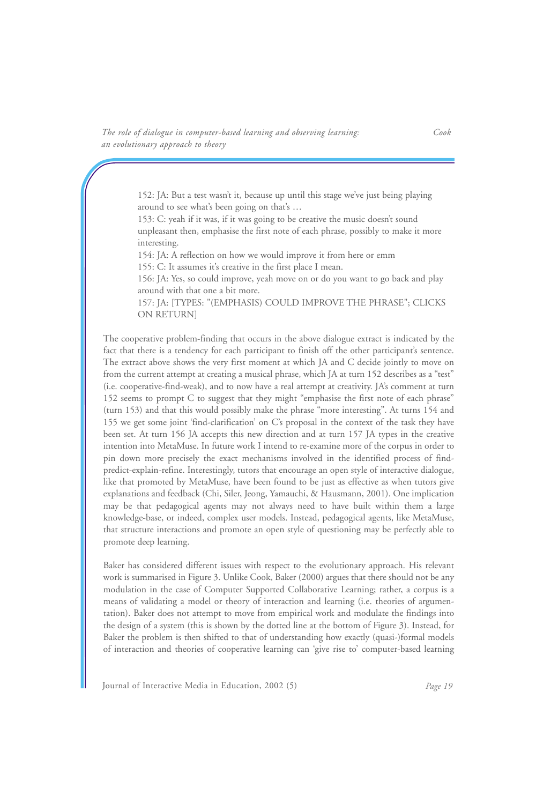> 152: JA: But a test wasn't it, because up until this stage we've just being playing around to see what's been going on that's …

153: C: yeah if it was, if it was going to be creative the music doesn't sound unpleasant then, emphasise the first note of each phrase, possibly to make it more interesting.

154: JA: A reflection on how we would improve it from here or emm

155: C: It assumes it's creative in the first place I mean.

156: JA: Yes, so could improve, yeah move on or do you want to go back and play around with that one a bit more.

157: JA: [TYPES: "(EMPHASIS) COULD IMPROVE THE PHRASE"; CLICKS ON RETURN]

The cooperative problem-finding that occurs in the above dialogue extract is indicated by the fact that there is a tendency for each participant to finish off the other participant's sentence. The extract above shows the very first moment at which JA and C decide jointly to move on from the current attempt at creating a musical phrase, which JA at turn 152 describes as a "test" (i.e. cooperative-find-weak), and to now have a real attempt at creativity. JA's comment at turn 152 seems to prompt C to suggest that they might "emphasise the first note of each phrase" (turn 153) and that this would possibly make the phrase "more interesting". At turns 154 and 155 we get some joint 'find-clarification' on C's proposal in the context of the task they have been set. At turn 156 JA accepts this new direction and at turn 157 JA types in the creative intention into MetaMuse. In future work I intend to re-examine more of the corpus in order to pin down more precisely the exact mechanisms involved in the identified process of findpredict-explain-refine. Interestingly, tutors that encourage an open style of interactive dialogue, like that promoted by MetaMuse, have been found to be just as effective as when tutors give explanations and feedback (Chi, Siler, Jeong, Yamauchi, & Hausmann, 2001). One implication may be that pedagogical agents may not always need to have built within them a large knowledge-base, or indeed, complex user models. Instead, pedagogical agents, like MetaMuse, that structure interactions and promote an open style of questioning may be perfectly able to promote deep learning.

Baker has considered different issues with respect to the evolutionary approach. His relevant work is summarised in Figure 3. Unlike Cook, Baker (2000) argues that there should not be any modulation in the case of Computer Supported Collaborative Learning; rather, a corpus is a means of validating a model or theory of interaction and learning (i.e. theories of argumentation). Baker does not attempt to move from empirical work and modulate the findings into the design of a system (this is shown by the dotted line at the bottom of Figure 3). Instead, for Baker the problem is then shifted to that of understanding how exactly (quasi-)formal models of interaction and theories of cooperative learning can 'give rise to' computer-based learning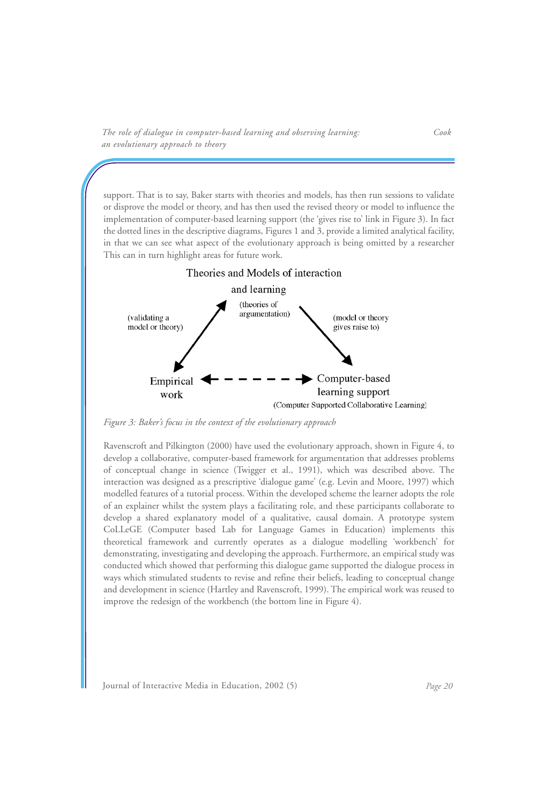support. That is to say, Baker starts with theories and models, has then run sessions to validate or disprove the model or theory, and has then used the revised theory or model to influence the implementation of computer-based learning support (the 'gives rise to' link in Figure 3). In fact the dotted lines in the descriptive diagrams, Figures 1 and 3, provide a limited analytical facility, in that we can see what aspect of the evolutionary approach is being omitted by a researcher This can in turn highlight areas for future work.



*Figure 3: Baker's focus in the context of the evolutionary approach*

Ravenscroft and Pilkington (2000) have used the evolutionary approach, shown in Figure 4, to develop a collaborative, computer-based framework for argumentation that addresses problems of conceptual change in science (Twigger et al., 1991), which was described above. The interaction was designed as a prescriptive 'dialogue game' (e.g. Levin and Moore, 1997) which modelled features of a tutorial process. Within the developed scheme the learner adopts the role of an explainer whilst the system plays a facilitating role, and these participants collaborate to develop a shared explanatory model of a qualitative, causal domain. A prototype system CoLLeGE (Computer based Lab for Language Games in Education) implements this theoretical framework and currently operates as a dialogue modelling 'workbench' for demonstrating, investigating and developing the approach. Furthermore, an empirical study was conducted which showed that performing this dialogue game supported the dialogue process in ways which stimulated students to revise and refine their beliefs, leading to conceptual change and development in science (Hartley and Ravenscroft, 1999). The empirical work was reused to improve the redesign of the workbench (the bottom line in Figure 4).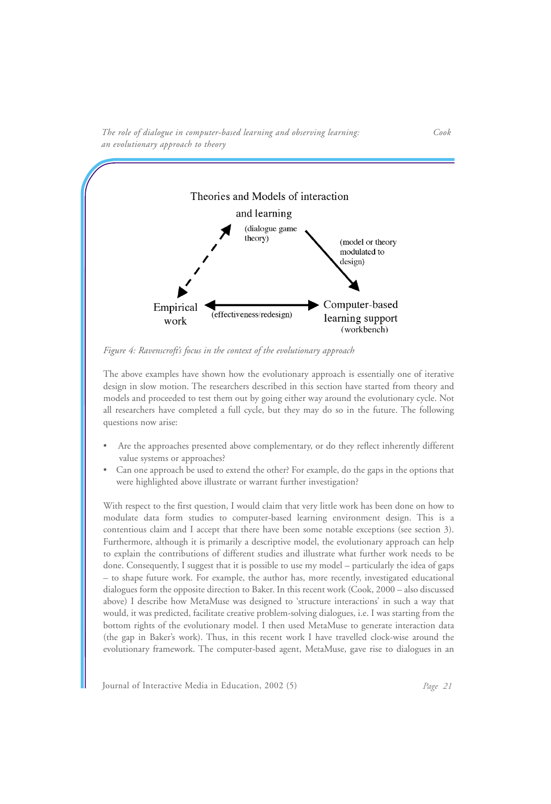

*The role of dialogue in computer-based learning and observing learning: Cook an evolutionary approach to theory*

*Figure 4: Ravenscroft's focus in the context of the evolutionary approach*

The above examples have shown how the evolutionary approach is essentially one of iterative design in slow motion. The researchers described in this section have started from theory and models and proceeded to test them out by going either way around the evolutionary cycle. Not all researchers have completed a full cycle, but they may do so in the future. The following questions now arise:

- Are the approaches presented above complementary, or do they reflect inherently different value systems or approaches?
- Can one approach be used to extend the other? For example, do the gaps in the options that were highlighted above illustrate or warrant further investigation?

With respect to the first question, I would claim that very little work has been done on how to modulate data form studies to computer-based learning environment design. This is a contentious claim and I accept that there have been some notable exceptions (see section 3). Furthermore, although it is primarily a descriptive model, the evolutionary approach can help to explain the contributions of different studies and illustrate what further work needs to be done. Consequently, I suggest that it is possible to use my model – particularly the idea of gaps – to shape future work. For example, the author has, more recently, investigated educational dialogues form the opposite direction to Baker. In this recent work (Cook, 2000 – also discussed above) I describe how MetaMuse was designed to 'structure interactions' in such a way that would, it was predicted, facilitate creative problem-solving dialogues, i.e. I was starting from the bottom rights of the evolutionary model. I then used MetaMuse to generate interaction data (the gap in Baker's work). Thus, in this recent work I have travelled clock-wise around the evolutionary framework. The computer-based agent, MetaMuse, gave rise to dialogues in an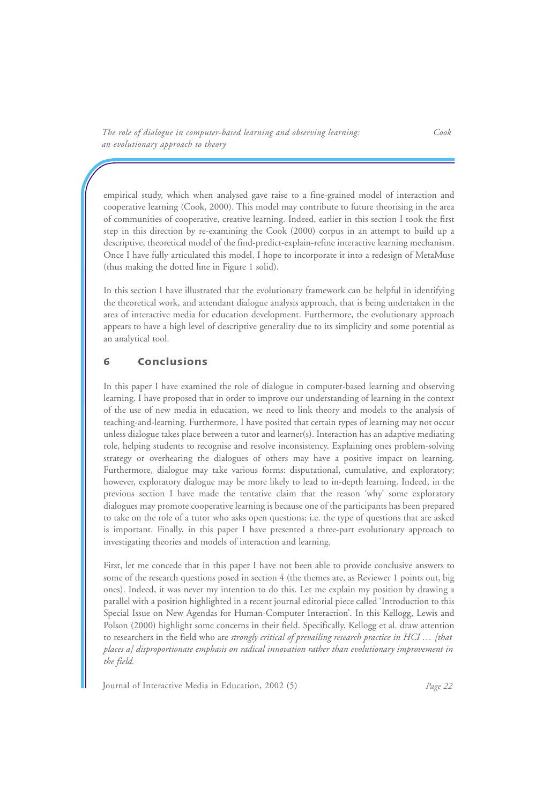empirical study, which when analysed gave raise to a fine-grained model of interaction and cooperative learning (Cook, 2000). This model may contribute to future theorising in the area of communities of cooperative, creative learning. Indeed, earlier in this section I took the first step in this direction by re-examining the Cook (2000) corpus in an attempt to build up a descriptive, theoretical model of the find-predict-explain-refine interactive learning mechanism. Once I have fully articulated this model, I hope to incorporate it into a redesign of MetaMuse (thus making the dotted line in Figure 1 solid).

In this section I have illustrated that the evolutionary framework can be helpful in identifying the theoretical work, and attendant dialogue analysis approach, that is being undertaken in the area of interactive media for education development. Furthermore, the evolutionary approach appears to have a high level of descriptive generality due to its simplicity and some potential as an analytical tool.

## **6 Conclusions**

In this paper I have examined the role of dialogue in computer-based learning and observing learning. I have proposed that in order to improve our understanding of learning in the context of the use of new media in education, we need to link theory and models to the analysis of teaching-and-learning. Furthermore, I have posited that certain types of learning may not occur unless dialogue takes place between a tutor and learner(s). Interaction has an adaptive mediating role, helping students to recognise and resolve inconsistency. Explaining ones problem-solving strategy or overhearing the dialogues of others may have a positive impact on learning. Furthermore, dialogue may take various forms: disputational, cumulative, and exploratory; however, exploratory dialogue may be more likely to lead to in-depth learning. Indeed, in the previous section I have made the tentative claim that the reason 'why' some exploratory dialogues may promote cooperative learning is because one of the participants has been prepared to take on the role of a tutor who asks open questions; i.e. the type of questions that are asked is important. Finally, in this paper I have presented a three-part evolutionary approach to investigating theories and models of interaction and learning.

First, let me concede that in this paper I have not been able to provide conclusive answers to some of the research questions posed in section 4 (the themes are, as Reviewer 1 points out, big ones). Indeed, it was never my intention to do this. Let me explain my position by drawing a parallel with a position highlighted in a recent journal editorial piece called 'Introduction to this Special Issue on New Agendas for Human-Computer Interaction'. In this Kellogg, Lewis and Polson (2000) highlight some concerns in their field. Specifically, Kellogg et al. draw attention to researchers in the field who are *strongly critical of prevailing research practice in HCI … [that places a] disproportionate emphasis on radical innovation rather than evolutionary improvement in the field.*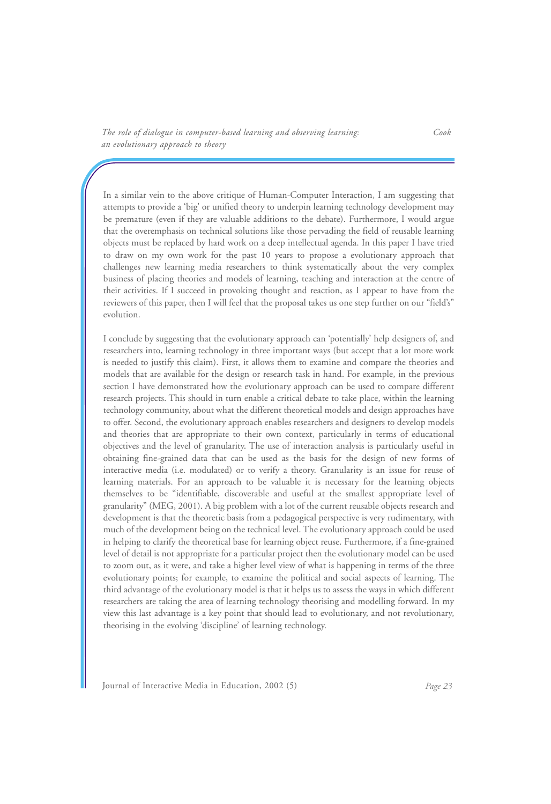In a similar vein to the above critique of Human-Computer Interaction, I am suggesting that attempts to provide a 'big' or unified theory to underpin learning technology development may be premature (even if they are valuable additions to the debate). Furthermore, I would argue that the overemphasis on technical solutions like those pervading the field of reusable learning objects must be replaced by hard work on a deep intellectual agenda. In this paper I have tried to draw on my own work for the past 10 years to propose a evolutionary approach that challenges new learning media researchers to think systematically about the very complex business of placing theories and models of learning, teaching and interaction at the centre of their activities. If I succeed in provoking thought and reaction, as I appear to have from the reviewers of this paper, then I will feel that the proposal takes us one step further on our "field's" evolution.

I conclude by suggesting that the evolutionary approach can 'potentially' help designers of, and researchers into, learning technology in three important ways (but accept that a lot more work is needed to justify this claim). First, it allows them to examine and compare the theories and models that are available for the design or research task in hand. For example, in the previous section I have demonstrated how the evolutionary approach can be used to compare different research projects. This should in turn enable a critical debate to take place, within the learning technology community, about what the different theoretical models and design approaches have to offer. Second, the evolutionary approach enables researchers and designers to develop models and theories that are appropriate to their own context, particularly in terms of educational objectives and the level of granularity. The use of interaction analysis is particularly useful in obtaining fine-grained data that can be used as the basis for the design of new forms of interactive media (i.e. modulated) or to verify a theory. Granularity is an issue for reuse of learning materials. For an approach to be valuable it is necessary for the learning objects themselves to be "identifiable, discoverable and useful at the smallest appropriate level of granularity" (MEG, 2001). A big problem with a lot of the current reusable objects research and development is that the theoretic basis from a pedagogical perspective is very rudimentary, with much of the development being on the technical level. The evolutionary approach could be used in helping to clarify the theoretical base for learning object reuse. Furthermore, if a fine-grained level of detail is not appropriate for a particular project then the evolutionary model can be used to zoom out, as it were, and take a higher level view of what is happening in terms of the three evolutionary points; for example, to examine the political and social aspects of learning. The third advantage of the evolutionary model is that it helps us to assess the ways in which different researchers are taking the area of learning technology theorising and modelling forward. In my view this last advantage is a key point that should lead to evolutionary, and not revolutionary, theorising in the evolving 'discipline' of learning technology.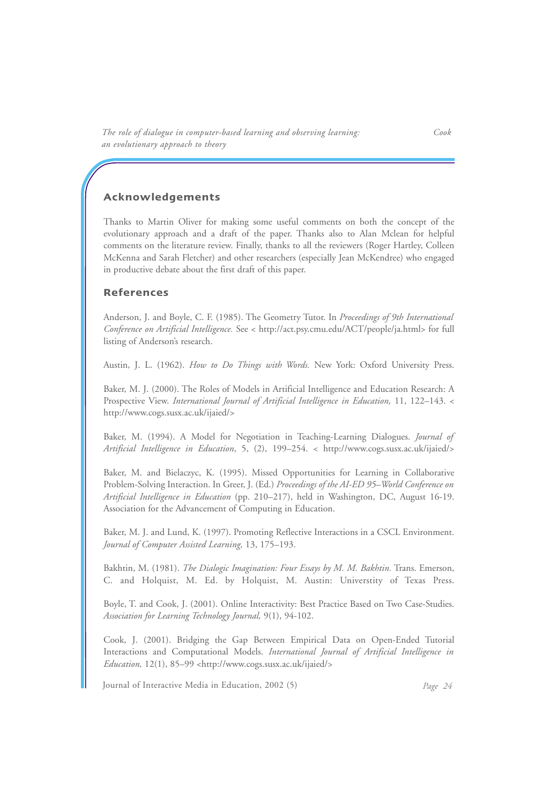### **Acknowledgements**

Thanks to Martin Oliver for making some useful comments on both the concept of the evolutionary approach and a draft of the paper. Thanks also to Alan Mclean for helpful comments on the literature review. Finally, thanks to all the reviewers (Roger Hartley, Colleen McKenna and Sarah Fletcher) and other researchers (especially Jean McKendree) who engaged in productive debate about the first draft of this paper.

### **References**

Anderson, J. and Boyle, C. F. (1985). The Geometry Tutor. In *Proceedings of 9th International Conference on Artificial Intelligence.* See < http://act.psy.cmu.edu/ACT/people/ja.html> for full listing of Anderson's research.

Austin, J. L. (1962). *How to Do Things with Words.* New York: Oxford University Press.

Baker, M. J. (2000). The Roles of Models in Artificial Intelligence and Education Research: A Prospective View. *International Journal of Artificial Intelligence in Education,* 11, 122–143. < http://www.cogs.susx.ac.uk/ijaied/>

Baker, M. (1994). A Model for Negotiation in Teaching-Learning Dialogues. *Journal of Artificial Intelligence in Education*, 5, (2), 199–254. < http://www.cogs.susx.ac.uk/ijaied/>

Baker, M. and Bielaczyc, K. (1995). Missed Opportunities for Learning in Collaborative Problem-Solving Interaction. In Greer, J. (Ed.) *Proceedings of the AI-ED 95–World Conference on Artificial Intelligence in Education* (pp. 210–217), held in Washington, DC, August 16-19. Association for the Advancement of Computing in Education.

Baker, M. J. and Lund, K. (1997). Promoting Reflective Interactions in a CSCL Environment. *Journal of Computer Assisted Learning,* 13, 175–193.

Bakhtin, M. (1981). *The Dialogic Imagination: Four Essays by M. M. Bakhtin.* Trans. Emerson, C. and Holquist, M. Ed. by Holquist, M. Austin: Universtity of Texas Press.

Boyle, T. and Cook, J. (2001). Online Interactivity: Best Practice Based on Two Case-Studies. *Association for Learning Technology Journal,* 9(1), 94-102.

Cook, J. (2001). Bridging the Gap Between Empirical Data on Open-Ended Tutorial Interactions and Computational Models. *International Journal of Artificial Intelligence in Education,* 12(1), 85–99 <http://www.cogs.susx.ac.uk/ijaied/>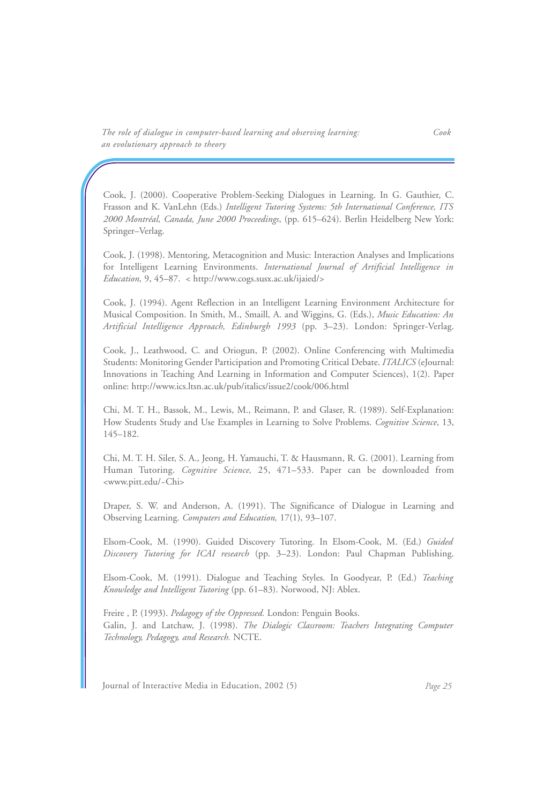Cook, J. (2000). Cooperative Problem-Seeking Dialogues in Learning. In G. Gauthier, C. Frasson and K. VanLehn (Eds.) *Intelligent Tutoring Systems: 5th International Conference, ITS 2000 Montréal, Canada, June 2000 Proceedings*, (pp. 615–624). Berlin Heidelberg New York: Springer–Verlag.

Cook, J. (1998). Mentoring, Metacognition and Music: Interaction Analyses and Implications for Intelligent Learning Environments. *International Journal of Artificial Intelligence in Education,* 9, 45–87. < http://www.cogs.susx.ac.uk/ijaied/>

Cook, J. (1994). Agent Reflection in an Intelligent Learning Environment Architecture for Musical Composition. In Smith, M., Smaill, A. and Wiggins, G. (Eds.), *Music Education: An Artificial Intelligence Approach, Edinburgh 1993* (pp. 3–23). London: Springer-Verlag.

Cook, J., Leathwood, C. and Oriogun, P. (2002). Online Conferencing with Multimedia Students: Monitoring Gender Participation and Promoting Critical Debate. *ITALICS* (eJournal: Innovations in Teaching And Learning in Information and Computer Sciences), 1(2). Paper online: http://www.ics.ltsn.ac.uk/pub/italics/issue2/cook/006.html

Chi, M. T. H., Bassok, M., Lewis, M., Reimann, P. and Glaser, R. (1989). Self-Explanation: How Students Study and Use Examples in Learning to Solve Problems. *Cognitive Science*, 13, 145–182.

Chi, M. T. H. Siler, S. A., Jeong, H. Yamauchi, T. & Hausmann, R. G. (2001). Learning from Human Tutoring. *Cognitive Science,* 25, 471–533. Paper can be downloaded from <www.pitt.edu/~Chi>

Draper, S. W. and Anderson, A. (1991). The Significance of Dialogue in Learning and Observing Learning. *Computers and Education,* 17(1), 93–107.

Elsom-Cook, M. (1990). Guided Discovery Tutoring. In Elsom-Cook, M. (Ed.) *Guided Discovery Tutoring for ICAI research* (pp. 3–23). London: Paul Chapman Publishing.

Elsom-Cook, M. (1991). Dialogue and Teaching Styles. In Goodyear, P. (Ed.) *Teaching Knowledge and Intelligent Tutoring* (pp. 61–83). Norwood, NJ: Ablex.

Freire , P. (1993). *Pedagogy of the Oppressed.* London: Penguin Books. Galin, J. and Latchaw, J. (1998). *The Dialogic Classroom: Teachers Integrating Computer Technology, Pedagogy, and Research.* NCTE.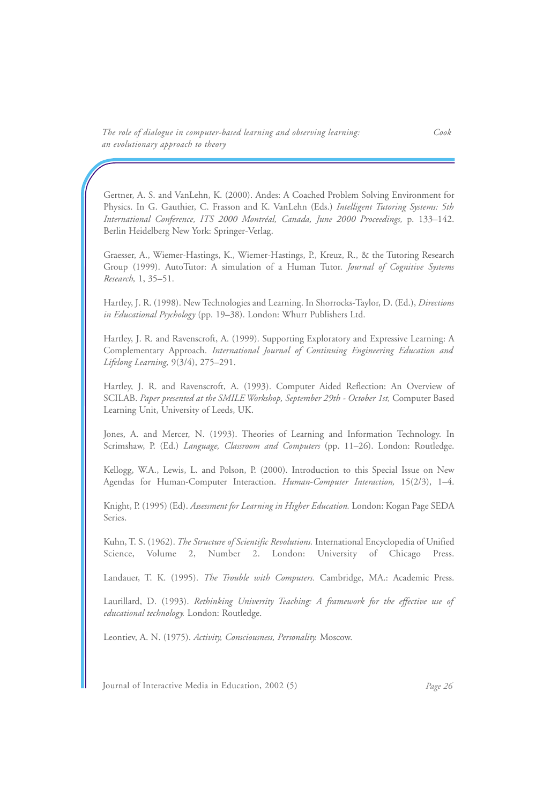Gertner, A. S. and VanLehn, K. (2000). Andes: A Coached Problem Solving Environment for Physics. In G. Gauthier, C. Frasson and K. VanLehn (Eds.) *Intelligent Tutoring Systems: 5th International Conference, ITS 2000 Montréal, Canada, June 2000 Proceedings,* p. 133–142. Berlin Heidelberg New York: Springer-Verlag.

Graesser, A., Wiemer-Hastings, K., Wiemer-Hastings, P., Kreuz, R., & the Tutoring Research Group (1999). AutoTutor: A simulation of a Human Tutor. *Journal of Cognitive Systems Research,* 1, 35–51.

Hartley, J. R. (1998). New Technologies and Learning. In Shorrocks-Taylor, D. (Ed.), *Directions in Educational Psychology* (pp. 19–38). London: Whurr Publishers Ltd.

Hartley, J. R. and Ravenscroft, A. (1999). Supporting Exploratory and Expressive Learning: A Complementary Approach. *International Journal of Continuing Engineering Education and Lifelong Learning,* 9(3/4), 275–291.

Hartley, J. R. and Ravenscroft, A. (1993). Computer Aided Reflection: An Overview of SCILAB. *Paper presented at the SMILE Workshop, September 29th - October 1st,* Computer Based Learning Unit, University of Leeds, UK.

Jones, A. and Mercer, N. (1993). Theories of Learning and Information Technology. In Scrimshaw, P. (Ed.) *Language, Classroom and Computers* (pp. 11–26). London: Routledge.

Kellogg, W.A., Lewis, L. and Polson, P. (2000). Introduction to this Special Issue on New Agendas for Human-Computer Interaction. *Human-Computer Interaction,* 15(2/3), 1–4.

Knight, P. (1995) (Ed). *Assessment for Learning in Higher Education.* London: Kogan Page SEDA Series.

Kuhn, T. S. (1962). *The Structure of Scientific Revolutions.* International Encyclopedia of Unified Science, Volume 2, Number 2. London: University of Chicago Press.

Landauer, T. K. (1995). *The Trouble with Computers.* Cambridge, MA.: Academic Press.

Laurillard, D. (1993). *Rethinking University Teaching: A framework for the effective use of educational technology.* London: Routledge.

Leontiev, A. N. (1975). *Activity, Consciousness, Personality.* Moscow.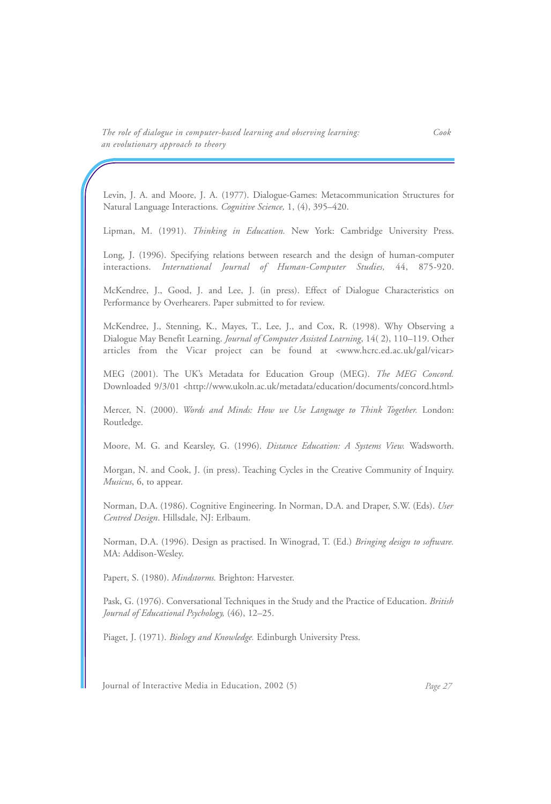Levin, J. A. and Moore, J. A. (1977). Dialogue-Games: Metacommunication Structures for Natural Language Interactions. *Cognitive Science,* 1, (4), 395–420.

Lipman, M. (1991). *Thinking in Education.* New York: Cambridge University Press.

Long, J. (1996). Specifying relations between research and the design of human-computer interactions. *International Journal of Human-Computer Studies,* 44, 875-920.

McKendree, J., Good, J. and Lee, J. (in press). Effect of Dialogue Characteristics on Performance by Overhearers. Paper submitted to for review.

McKendree, J., Stenning, K., Mayes, T., Lee, J., and Cox, R. (1998). Why Observing a Dialogue May Benefit Learning. *Journal of Computer Assisted Learning*, 14( 2), 110–119. Other articles from the Vicar project can be found at <www.hcrc.ed.ac.uk/gal/vicar>

MEG (2001). The UK's Metadata for Education Group (MEG). *The MEG Concord.* Downloaded 9/3/01 <http://www.ukoln.ac.uk/metadata/education/documents/concord.html>

Mercer, N. (2000). *Words and Minds: How we Use Language to Think Together.* London: Routledge.

Moore, M. G. and Kearsley, G. (1996). *Distance Education: A Systems View.* Wadsworth.

Morgan, N. and Cook, J. (in press). Teaching Cycles in the Creative Community of Inquiry. *Musicus*, 6, to appear.

Norman, D.A. (1986). Cognitive Engineering. In Norman, D.A. and Draper, S.W. (Eds). *User Centred Design*. Hillsdale, NJ: Erlbaum.

Norman, D.A. (1996). Design as practised. In Winograd, T. (Ed.) *Bringing design to software.* MA: Addison-Wesley.

Papert, S. (1980). *Mindstorms.* Brighton: Harvester.

Pask, G. (1976). Conversational Techniques in the Study and the Practice of Education. *British Journal of Educational Psychology,* (46), 12–25.

Piaget, J. (1971). *Biology and Knowledge.* Edinburgh University Press.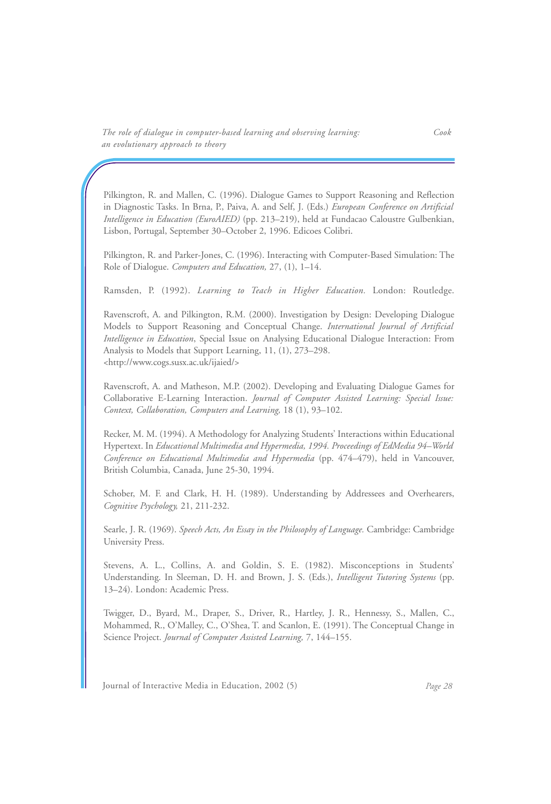Pilkington, R. and Mallen, C. (1996). Dialogue Games to Support Reasoning and Reflection in Diagnostic Tasks. In Brna, P., Paiva, A. and Self, J. (Eds.) *European Conference on Artificial Intelligence in Education (EuroAIED)* (pp. 213–219), held at Fundacao Caloustre Gulbenkian, Lisbon, Portugal, September 30–October 2, 1996. Edicoes Colibri.

Pilkington, R. and Parker-Jones, C. (1996). Interacting with Computer-Based Simulation: The Role of Dialogue. *Computers and Education,* 27, (1), 1–14.

Ramsden, P. (1992). *Learning to Teach in Higher Education.* London: Routledge.

Ravenscroft, A. and Pilkington, R.M. (2000). Investigation by Design: Developing Dialogue Models to Support Reasoning and Conceptual Change. *International Journal of Artificial Intelligence in Education*, Special Issue on Analysing Educational Dialogue Interaction: From Analysis to Models that Support Learning, 11, (1), 273–298. <http://www.cogs.susx.ac.uk/ijaied/>

Ravenscroft, A. and Matheson, M.P. (2002). Developing and Evaluating Dialogue Games for Collaborative E-Learning Interaction. *Journal of Computer Assisted Learning: Special Issue: Context, Collaboration, Computers and Learning,* 18 (1), 93–102.

Recker, M. M. (1994). A Methodology for Analyzing Students' Interactions within Educational Hypertext. In *Educational Multimedia and Hypermedia, 1994. Proceedings of EdMedia 94–World Conference on Educational Multimedia and Hypermedia* (pp. 474–479), held in Vancouver, British Columbia, Canada, June 25-30, 1994.

Schober, M. F. and Clark, H. H. (1989). Understanding by Addressees and Overhearers, *Cognitive Psychology,* 21, 211-232.

Searle, J. R. (1969). *Speech Acts, An Essay in the Philosophy of Language.* Cambridge: Cambridge University Press.

Stevens, A. L., Collins, A. and Goldin, S. E. (1982). Misconceptions in Students' Understanding. In Sleeman, D. H. and Brown, J. S. (Eds.), *Intelligent Tutoring Systems* (pp. 13–24). London: Academic Press.

Twigger, D., Byard, M., Draper, S., Driver, R., Hartley, J. R., Hennessy, S., Mallen, C., Mohammed, R., O'Malley, C., O'Shea, T. and Scanlon, E. (1991). The Conceptual Change in Science Project. *Journal of Computer Assisted Learning,* 7, 144–155.